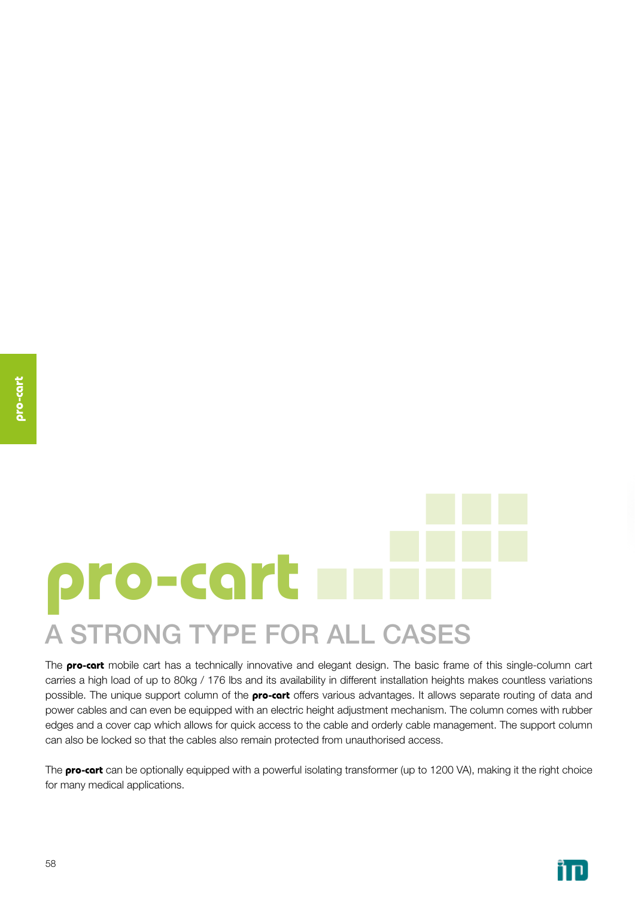# **pro-cart** A STRONG TYPE FOR ALL CASES

The **pro-cart** mobile cart has a technically innovative and elegant design. The basic frame of this single-column cart carries a high load of up to 80kg / 176 lbs and its availability in different installation heights makes countless variations possible. The unique support column of the **pro-cart** offers various advantages. It allows separate routing of data and power cables and can even be equipped with an electric height adjustment mechanism. The column comes with rubber edges and a cover cap which allows for quick access to the cable and orderly cable management. The support column can also be locked so that the cables also remain protected from unauthorised access.

The **pro-cart** can be optionally equipped with a powerful isolating transformer (up to 1200 VA), making it the right choice for many medical applications.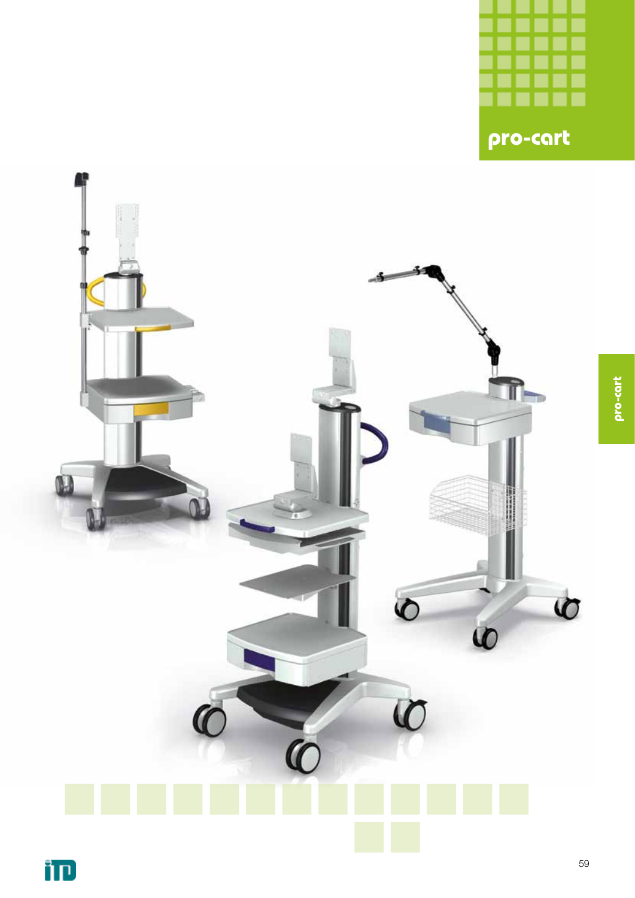

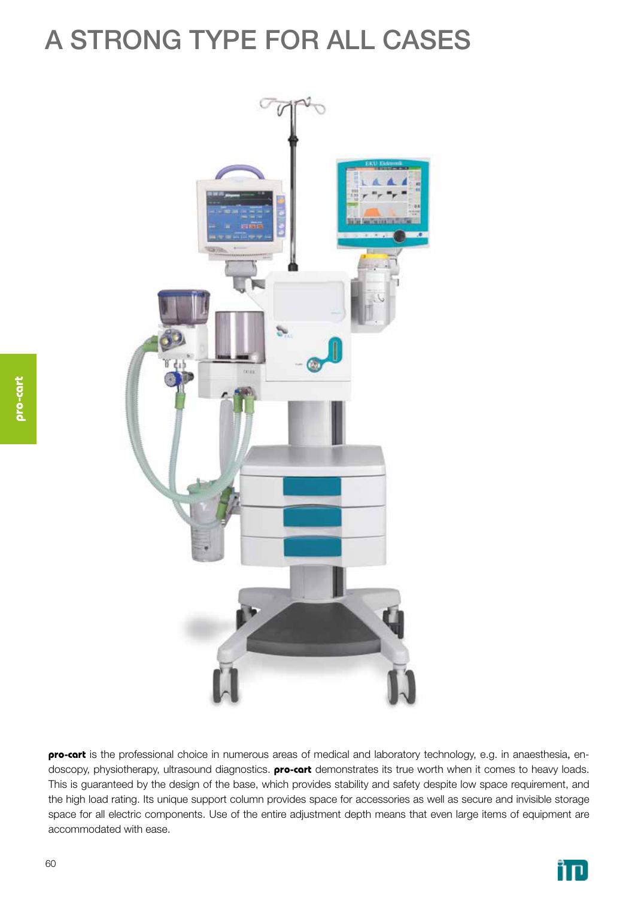# A STRONG TYPE FOR ALL CASES



**pro-cart** is the professional choice in numerous areas of medical and laboratory technology, e.g. in anaesthesia, endoscopy, physiotherapy, ultrasound diagnostics. **pro-cart** demonstrates its true worth when it comes to heavy loads. This is guaranteed by the design of the base, which provides stability and safety despite low space requirement, and the high load rating. Its unique support column provides space for accessories as well as secure and invisible storage space for all electric components. Use of the entire adjustment depth means that even large items of equipment are accommodated with ease.

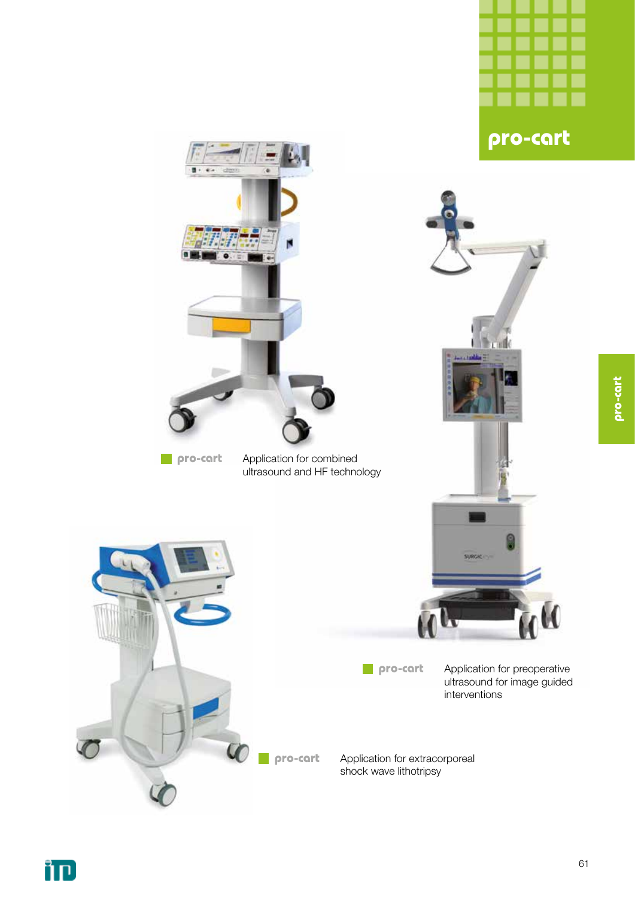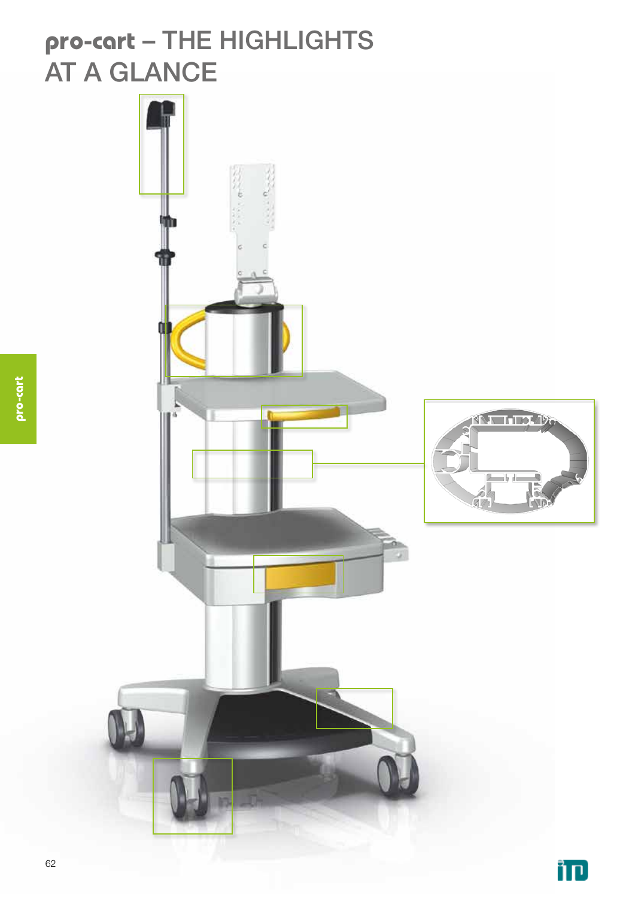### **pro-cart** – THE HIGHLIGHTS AT A GLANCE

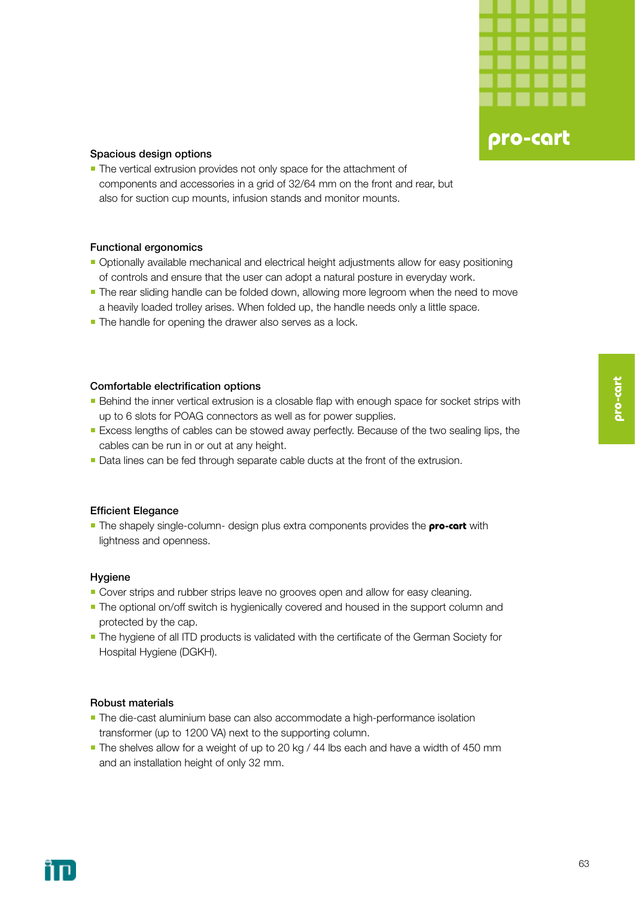

#### Spacious design options

**The vertical extrusion provides not only space for the attachment of** components and accessories in a grid of 32/64 mm on the front and rear, but also for suction cup mounts, infusion stands and monitor mounts.

#### Functional ergonomics

- Optionally available mechanical and electrical height adjustments allow for easy positioning of controls and ensure that the user can adopt a natural posture in everyday work.
- **The rear sliding handle can be folded down, allowing more legroom when the need to move** a heavily loaded trolley arises. When folded up, the handle needs only a little space.
- The handle for opening the drawer also serves as a lock.

#### Comfortable electrification options

- **Behind the inner vertical extrusion is a closable flap with enough space for socket strips with** up to 6 slots for POAG connectors as well as for power supplies.
- **Excess lengths of cables can be stowed away perfectly. Because of the two sealing lips, the** cables can be run in or out at any height.
- Data lines can be fed through separate cable ducts at the front of the extrusion.

#### Efficient Elegance

**The shapely single-column- design plus extra components provides the <b>pro-cart** with lightness and openness.

#### Hygiene

- **Cover strips and rubber strips leave no grooves open and allow for easy cleaning.**
- **The optional on/off switch is hygienically covered and housed in the support column and** protected by the cap.
- **-** The hygiene of all ITD products is validated with the certificate of the German Society for Hospital Hygiene (DGKH).

#### Robust materials

- **The die-cast aluminium base can also accommodate a high-performance isolation** transformer (up to 1200 VA) next to the supporting column.
- The shelves allow for a weight of up to 20 kg / 44 lbs each and have a width of 450 mm and an installation height of only 32 mm.

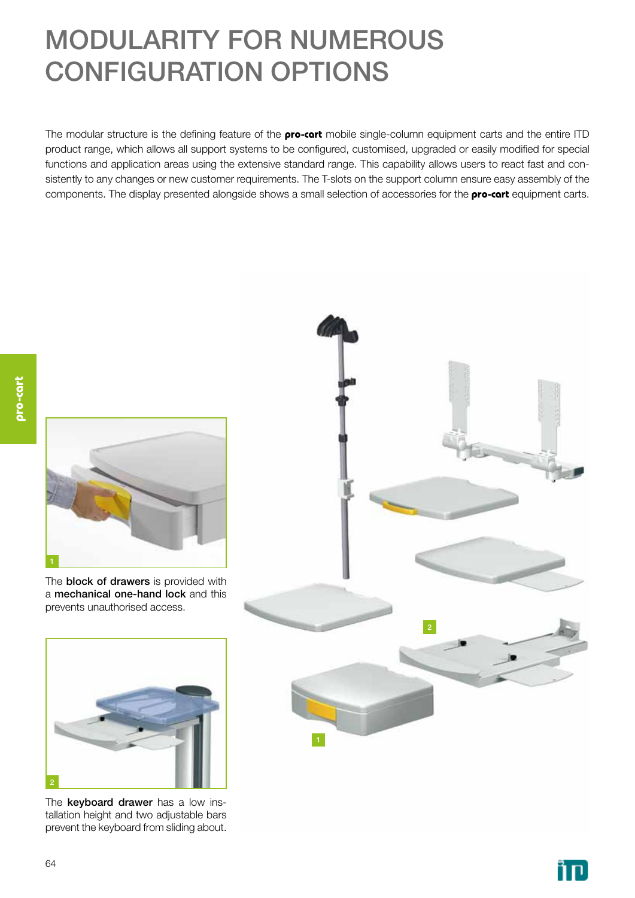# MODULARITY FOR NUMEROUS CONFIGURATION OPTIONS

The modular structure is the defining feature of the **pro-cart** mobile single-column equipment carts and the entire ITD product range, which allows all support systems to be configured, customised, upgraded or easily modified for special functions and application areas using the extensive standard range. This capability allows users to react fast and consistently to any changes or new customer requirements. The T-slots on the support column ensure easy assembly of the components. The display presented alongside shows a small selection of accessories for the **pro-cart** equipment carts.



The **block of drawers** is provided with a mechanical one-hand lock and this prevents unauthorised access.



The keyboard drawer has a low installation height and two adjustable bars prevent the keyboard from sliding about.



ìп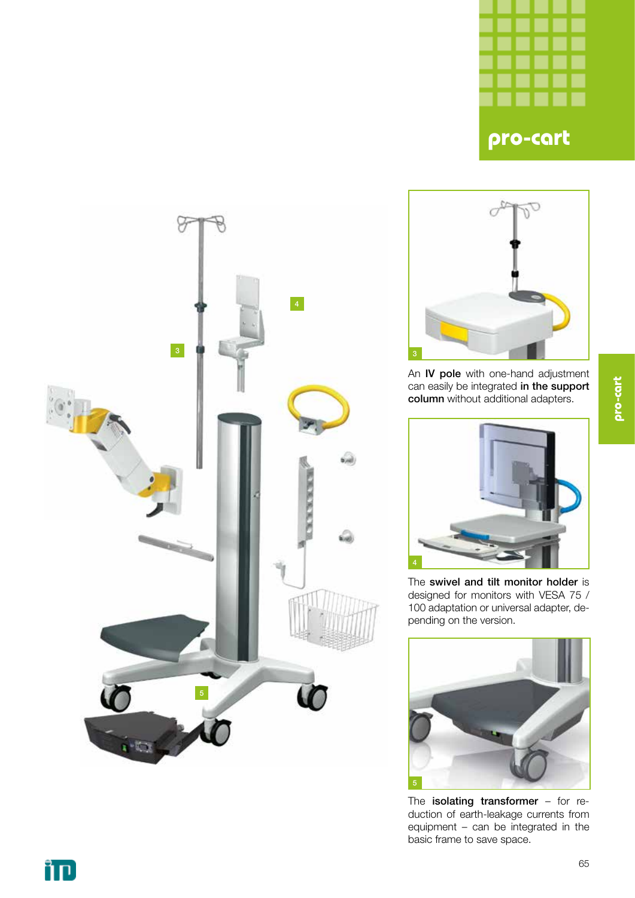





An IV pole with one-hand adjustment can easily be integrated in the support column without additional adapters.



The swivel and tilt monitor holder is designed for monitors with VESA 75 / 100 adaptation or universal adapter, depending on the version.



The **isolating transformer** - for reduction of earth-leakage currents from equipment – can be integrated in the basic frame to save space.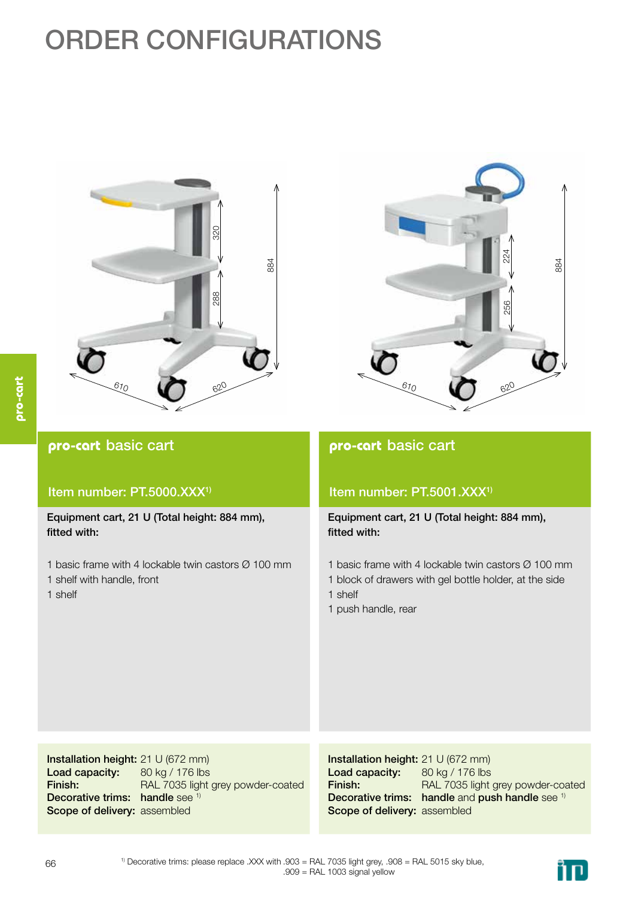# ORDER CONFIGURATIONS





#### **pro-cart** basic cart Item number: PT.5000.XXX<sup>1)</sup> Equipment cart, 21 U (Total height: 884 mm), fitted with: 1 basic frame with 4 lockable twin castors Ø 100 mm 1 shelf with handle, front 1 shelf Installation height: 21 U (672 mm) Load capacity: Finish: 80 kg / 176 lbs **pro-cart** basic cart Item number: PT.5001.XXX<sup>1)</sup> Equipment cart, 21 U (Total height: 884 mm), fitted with: 1 basic frame with 4 lockable twin castors Ø 100 mm 1 block of drawers with gel bottle holder, at the side 1 shelf 1 push handle, rear Installation height: 21 U (672 mm) Load capacity: Finish: 80 kg / 176 lbs

Decorative trims: handle see 1) Scope of delivery: assembled RAL 7035 light grey powder-coated Decorative trims: handle and push handle see 1) Scope of delivery: assembled RAL 7035 light grey powder-coated

ĨП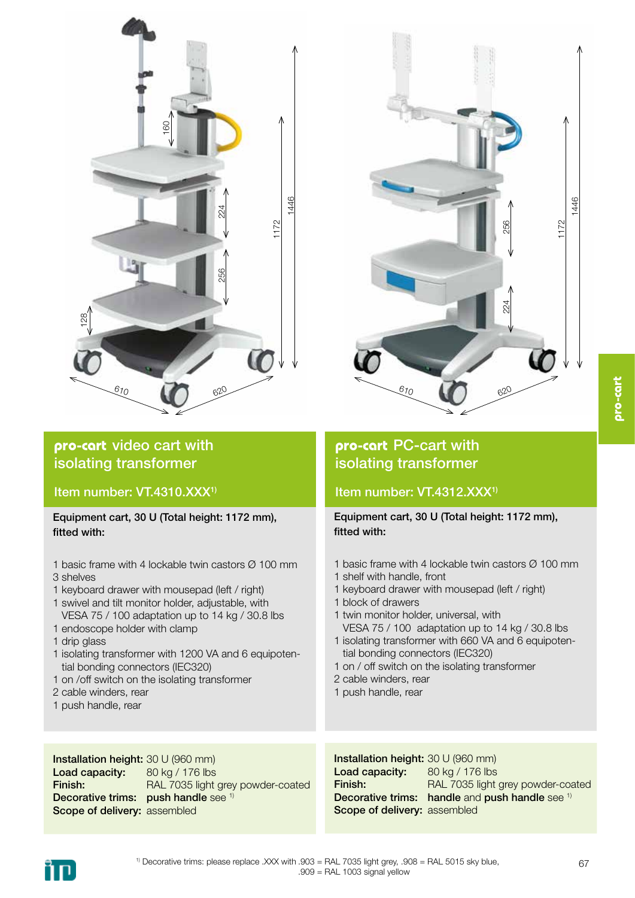

#### **pro-cart** video cart with isolating transformer

Item number: VT.4310.XXX<sup>1)</sup>

Equipment cart, 30 U (Total height: 1172 mm), fitted with:

- 1 basic frame with 4 lockable twin castors Ø 100 mm 3 shelves
- 1 keyboard drawer with mousepad (left / right)
- 1 swivel and tilt monitor holder, adjustable, with VESA 75 / 100 adaptation up to 14 kg / 30.8 lbs
- 1 endoscope holder with clamp
- 1 drip glass
- 1 isolating transformer with 1200 VA and 6 equipoten tial bonding connectors (IEC320)
- 1 on /off switch on the isolating transformer
- 2 cable winders, rear
- 1 push handle, rear



#### **pro-cart** PC-cart with isolating transformer

#### Item number: VT.4312.XXX<sup>1)</sup>

Equipment cart, 30 U (Total height: 1172 mm), fitted with:

- 1 basic frame with 4 lockable twin castors Ø 100 mm
- 1 shelf with handle, front
- 1 keyboard drawer with mousepad (left / right)
- 1 block of drawers
- 1 twin monitor holder, universal, with VESA 75 / 100 adaptation up to 14 kg / 30.8 lbs 1 isolating transformer with 660 VA and 6 equipoten-
- tial bonding connectors (IEC320)
- 1 on / off switch on the isolating transformer
- 2 cable winders, rear
- 1 push handle, rear

Installation height: 30 U (960 mm) Load capacity: Finish: Decorative trims: push handle see 1) Scope of delivery: assembled 80 kg / 176 lbs RAL 7035 light grey powder-coated

Installation height: 30 U (960 mm) Load capacity: Finish: Decorative trims: handle and push handle see 1) Scope of delivery: assembled 80 kg / 176 lbs RAL 7035 light grey powder-coated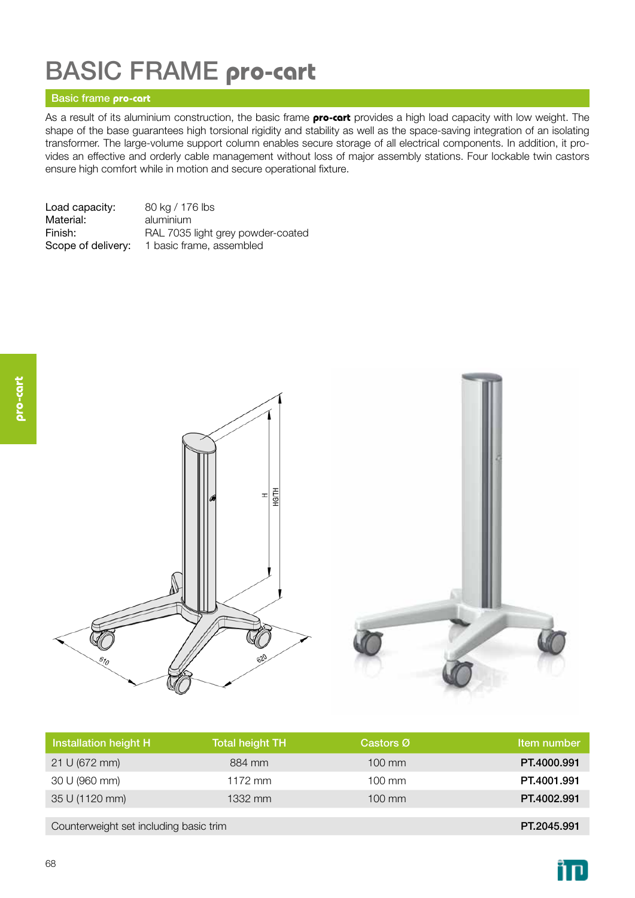# BASIC FRAME **pro-cart**

#### Basic frame **pro-cart**

As a result of its aluminium construction, the basic frame **pro-cart** provides a high load capacity with low weight. The shape of the base guarantees high torsional rigidity and stability as well as the space-saving integration of an isolating transformer. The large-volume support column enables secure storage of all electrical components. In addition, it provides an effective and orderly cable management without loss of major assembly stations. Four lockable twin castors ensure high comfort while in motion and secure operational fixture.

| Load capacity:     | 80 kg / 176 lbs                   |
|--------------------|-----------------------------------|
| Material:          | aluminium                         |
| Finish:            | RAL 7035 light grey powder-coated |
| Scope of delivery: | 1 basic frame, assembled          |



| Installation height H                  | <b>Total height TH</b> | Castors Ø        | Item number |
|----------------------------------------|------------------------|------------------|-------------|
| 21 U (672 mm)                          | 884 mm                 | $100 \text{ mm}$ | PT.4000.991 |
| 30 U (960 mm)                          | $1172$ mm              | $100 \text{ mm}$ | PT.4001.991 |
| 35 U (1120 mm)                         | 1332 mm                | $100 \text{ mm}$ | PT.4002.991 |
|                                        |                        |                  |             |
| Counterweight set including basic trim |                        |                  | PT.2045.991 |

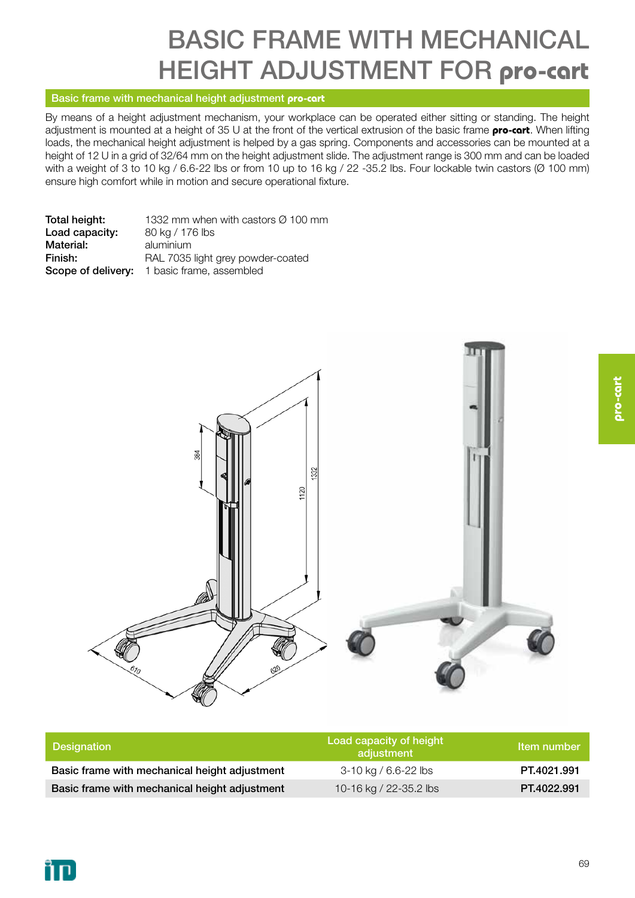# BASIC FRAME WITH MECHANICAL HEIGHT ADJUSTMENT FOR **pro-cart**

#### Basic frame with mechanical height adjustment **pro-cart**

By means of a height adjustment mechanism, your workplace can be operated either sitting or standing. The height adjustment is mounted at a height of 35 U at the front of the vertical extrusion of the basic frame **pro-cart**. When lifting loads, the mechanical height adjustment is helped by a gas spring. Components and accessories can be mounted at a height of 12 U in a grid of 32/64 mm on the height adjustment slide. The adjustment range is 300 mm and can be loaded with a weight of 3 to 10 kg / 6.6-22 lbs or from 10 up to 16 kg / 22 -35.2 lbs. Four lockable twin castors (Ø 100 mm) ensure high comfort while in motion and secure operational fixture.

| Total height:  | 1332 mm when with castors $\varnothing$ 100 mm |
|----------------|------------------------------------------------|
| Load capacity: | 80 kg / 176 lbs                                |
| Material:      | aluminium                                      |
| Finish:        | RAL 7035 light grey powder-coated              |
|                | Scope of delivery: 1 basic frame, assembled    |



| <b>Designation</b>                            | Load capacity of height<br>adjustment | Item number |
|-----------------------------------------------|---------------------------------------|-------------|
| Basic frame with mechanical height adjustment | 3-10 kg / 6.6-22 lbs                  | PT.4021.991 |
| Basic frame with mechanical height adjustment | 10-16 kg / 22-35.2 lbs                | PT.4022.991 |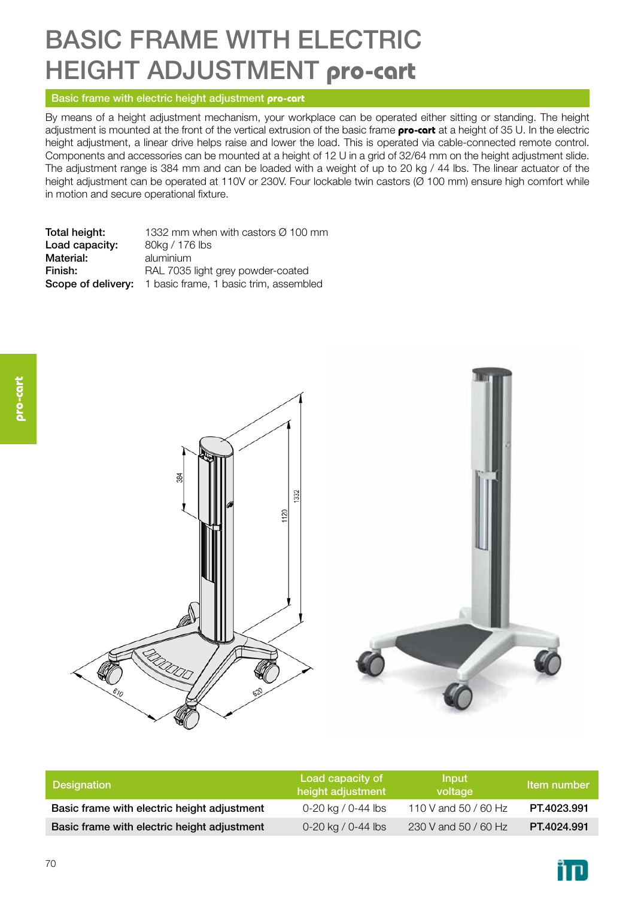# BASIC FRAME WITH ELECTRIC HEIGHT ADJUSTMENT **pro-cart**

#### Basic frame with electric height adjustment **pro-cart**

By means of a height adjustment mechanism, your workplace can be operated either sitting or standing. The height adjustment is mounted at the front of the vertical extrusion of the basic frame **pro-cart** at a height of 35 U. In the electric height adjustment, a linear drive helps raise and lower the load. This is operated via cable-connected remote control. Components and accessories can be mounted at a height of 12 U in a grid of 32/64 mm on the height adjustment slide. The adjustment range is 384 mm and can be loaded with a weight of up to 20 kg / 44 lbs. The linear actuator of the height adjustment can be operated at 110V or 230V. Four lockable twin castors (Ø 100 mm) ensure high comfort while in motion and secure operational fixture.

Total height:  $1332$  mm when with castors  $\varnothing$  100 mm Load capacity: 80kg / 176 lbs Material: aluminium Finish: RAL 7035 light grey powder-coated Scope of delivery: 1 basic frame, 1 basic trim, assembled



| Designation                                 | Load capacity of<br>height adjustment | <b>Input</b><br>voltage ' | Item number |
|---------------------------------------------|---------------------------------------|---------------------------|-------------|
| Basic frame with electric height adjustment | 0-20 kg / 0-44 lbs                    | 110 V and 50 / 60 Hz      | PT.4023.991 |
| Basic frame with electric height adjustment | 0-20 kg / 0-44 lbs                    | 230 V and 50 / 60 Hz      | PT.4024.991 |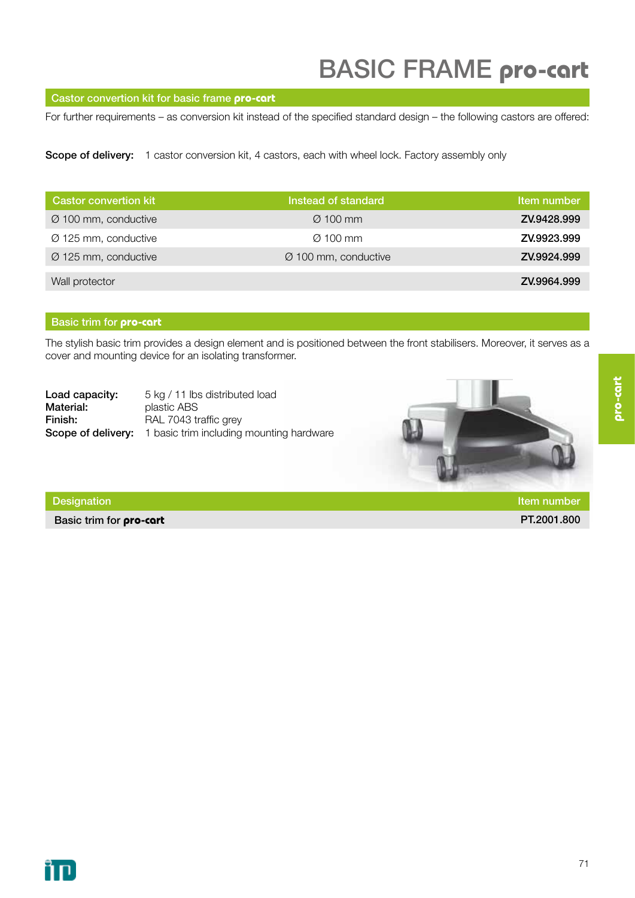#### Castor convertion kit for basic frame **pro-cart**

For further requirements – as conversion kit instead of the specified standard design – the following castors are offered:

Scope of delivery: 1 castor conversion kit, 4 castors, each with wheel lock. Factory assembly only

| <b>Castor convertion kit</b>     | Instead of standard              | Item number |
|----------------------------------|----------------------------------|-------------|
| $\varnothing$ 100 mm, conductive | $\varnothing$ 100 mm             | ZV.9428.999 |
| $\varnothing$ 125 mm, conductive | $\varnothing$ 100 mm             | ZV.9923.999 |
| $\varnothing$ 125 mm, conductive | $\varnothing$ 100 mm, conductive | ZV.9924.999 |
| Wall protector                   |                                  | ZV.9964.999 |

#### Basic trim for **pro-cart**

The stylish basic trim provides a design element and is positioned between the front stabilisers. Moreover, it serves as a cover and mounting device for an isolating transformer.

| Load capacity: | 5 kg / 11 lbs distributed load                                     |
|----------------|--------------------------------------------------------------------|
| Material:      | plastic ABS                                                        |
| Finish:        | RAL 7043 traffic grey                                              |
|                | <b>Scope of delivery:</b> 1 basic trim including mounting hardware |



Basic trim for **pro-cart** PT.2001.800

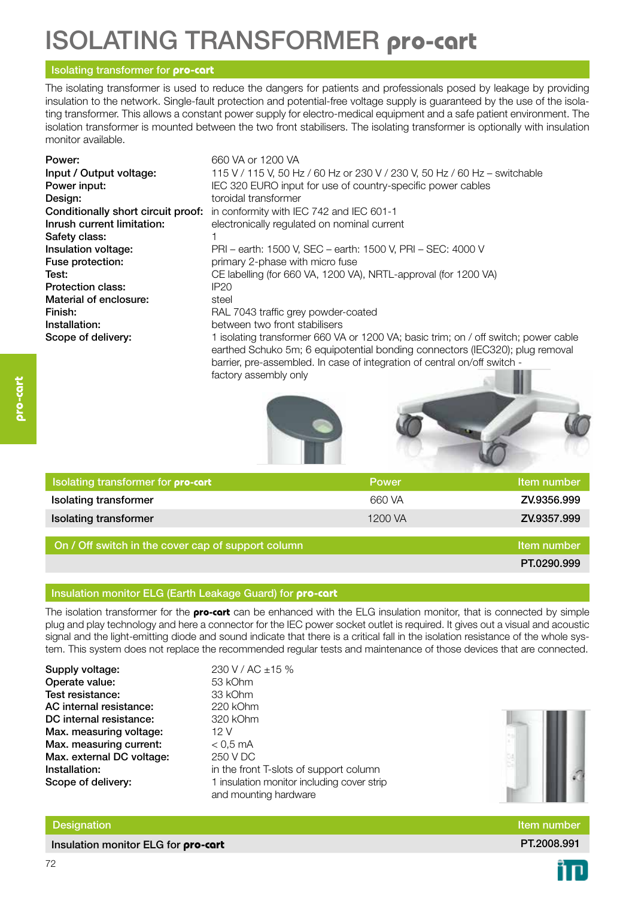# ISOLATING TRANSFORMER **pro-cart**

#### Isolating transformer for **pro-cart**

The isolating transformer is used to reduce the dangers for patients and professionals posed by leakage by providing insulation to the network. Single-fault protection and potential-free voltage supply is guaranteed by the use of the isolating transformer. This allows a constant power supply for electro-medical equipment and a safe patient environment. The isolation transformer is mounted between the two front stabilisers. The isolating transformer is optionally with insulation monitor available.

| Power:<br>Input / Output voltage:<br>Power input:<br>Design: | 660 VA or 1200 VA<br>115 V / 115 V, 50 Hz / 60 Hz or 230 V / 230 V, 50 Hz / 60 Hz - switchable<br>IEC 320 EURO input for use of country-specific power cables<br>toroidal transformer                                                            |
|--------------------------------------------------------------|--------------------------------------------------------------------------------------------------------------------------------------------------------------------------------------------------------------------------------------------------|
| Conditionally short circuit proof:                           | in conformity with IEC 742 and IEC 601-1                                                                                                                                                                                                         |
| Inrush current limitation:                                   | electronically regulated on nominal current                                                                                                                                                                                                      |
| Safety class:                                                |                                                                                                                                                                                                                                                  |
| Insulation voltage:                                          | PRI - earth: 1500 V, SEC - earth: 1500 V, PRI - SEC: 4000 V                                                                                                                                                                                      |
| Fuse protection:                                             | primary 2-phase with micro fuse                                                                                                                                                                                                                  |
| Test:                                                        | CE labelling (for 660 VA, 1200 VA), NRTL-approval (for 1200 VA)                                                                                                                                                                                  |
| Protection class:                                            | IP20                                                                                                                                                                                                                                             |
| Material of enclosure:                                       | steel                                                                                                                                                                                                                                            |
| Finish:                                                      | RAL 7043 traffic grey powder-coated                                                                                                                                                                                                              |
| Installation:                                                | between two front stabilisers                                                                                                                                                                                                                    |
| Scope of delivery:                                           | 1 isolating transformer 660 VA or 1200 VA; basic trim; on / off switch; power cable<br>earthed Schuko 5m; 6 equipotential bonding connectors (IEC320); plug removal<br>barrier, pre-assembled. In case of integration of central on/off switch - |

factory assembly only





| <b>I</b> Isolating transformer for <b>pro-cart</b> | <b>Power</b> | Item number |
|----------------------------------------------------|--------------|-------------|
| <b>Isolating transformer</b>                       | 660 VA       | ZV.9356.999 |
| <b>Isolating transformer</b>                       | 1200 VA      | ZV.9357.999 |

On / Off switch in the cover cap of support column Item Item number Item number

PT.0290.999

#### Insulation monitor ELG (Earth Leakage Guard) for **pro-cart**

The isolation transformer for the **pro-cart** can be enhanced with the ELG insulation monitor, that is connected by simple plug and play technology and here a connector for the IEC power socket outlet is required. It gives out a visual and acoustic signal and the light-emitting diode and sound indicate that there is a critical fall in the isolation resistance of the whole system. This system does not replace the recommended regular tests and maintenance of those devices that are connected.

| Supply voltage:           | 230   |
|---------------------------|-------|
| Operate value:            | 53 k  |
| Test resistance:          | 33 k  |
| AC internal resistance:   | 220   |
| DC internal resistance:   | 320   |
| Max. measuring voltage:   | 12 V  |
| Max. measuring current:   | < 0.5 |
| Max. external DC voltage: | 250   |
| Installation:             | in th |
| Scope of delivery:        | 1 ins |
|                           |       |

230 V / AC ±15 % 53 kOhm 33 kOhm 220 kOhm 320 kOhm  $< 0.5$  mA 250 V DC in the front T-slots of support column

and mounting hardware

1 insulation monitor including cover strip



Designation **Item number Item number Item number Item number Item number Item number** 

Insulation monitor ELG for **pro-cart PT.2008.991 PT.2008.991**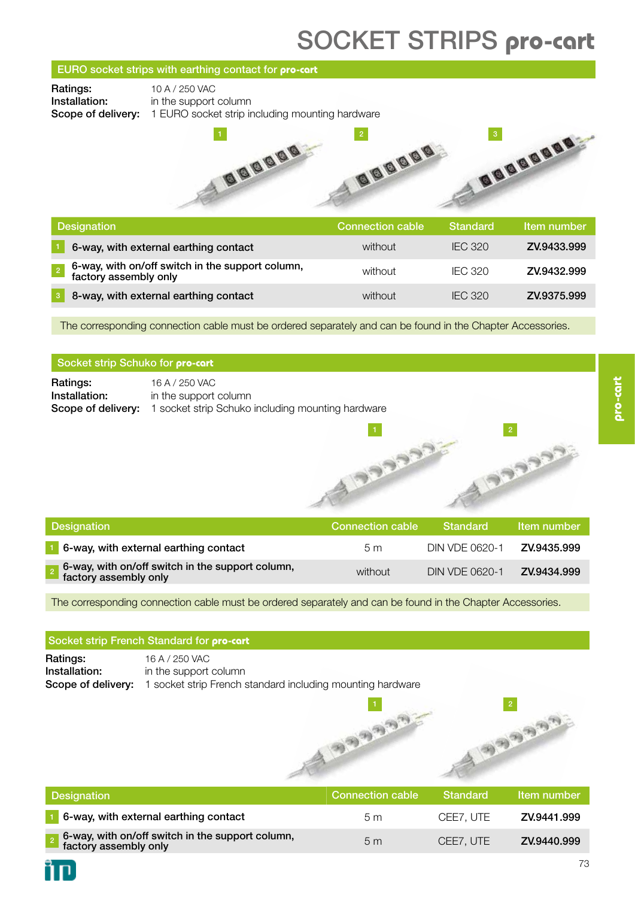# SOCKET STRIPS **pro-cart**

#### EURO socket strips with earthing contact for **pro-cart**

**Ratings:** 10 A / 250 VAC

**Installation:** in the support column Scope of delivery: 1 EURO socket strip including mounting hardware



| <b>Designation</b>                                                        | <b>Connection cable</b> | Standard       | Item number |
|---------------------------------------------------------------------------|-------------------------|----------------|-------------|
| 6-way, with external earthing contact                                     | without                 | <b>IFC 320</b> | ZV.9433.999 |
| 6-way, with on/off switch in the support column,<br>factory assembly only | without                 | <b>IFC 320</b> | ZV.9432.999 |
| 8-way, with external earthing contact                                     | without                 | <b>IFC 320</b> | ZV.9375.999 |

The corresponding connection cable must be ordered separately and can be found in the Chapter Accessories.

#### Socket strip Schuko for **pro-cart**

**Ratings:** 16 A / 250 VAC **Installation:** in the support column Scope of delivery: 1 socket strip Schuko including mounting hardware

| <b>Designation</b>                                                               | Connection cable | Standard       | Item number |
|----------------------------------------------------------------------------------|------------------|----------------|-------------|
| 1 6-way, with external earthing contact                                          | 5 m              | DIN VDE 0620-1 | ZV.9435.999 |
| $\int$ 6-way, with on/off switch in the support column,<br>factory assembly only | without          | DIN VDE 0620-1 | ZV.9434.999 |

ADDON

The corresponding connection cable must be ordered separately and can be found in the Chapter Accessories.

#### Socket strip French Standard for **pro-cart**

**Ratings:** 16 A / 250 VAC Installation: in the support column Scope of delivery: 1 socket strip French standard including mounting hardware



2

3333

|                                                                                             | $\mathcal{D}^{(2)}$     |                 | $\overline{\mathbf{c}}$<br>$\mathcal{P}_{(1)}$ $\mathcal{P}_{(2)}$ |
|---------------------------------------------------------------------------------------------|-------------------------|-----------------|--------------------------------------------------------------------|
| <b>Designation</b>                                                                          | <b>Connection cable</b> | <b>Standard</b> | Item number                                                        |
| 6-way, with external earthing contact                                                       | 5 <sub>m</sub>          | CEE7, UTE       | ZV.9441.999                                                        |
| 6-way, with on/off switch in the support column,<br>factory assembly only<br>$\overline{2}$ | 5 <sub>m</sub>          | CEE7, UTE       | ZV.9440.999                                                        |

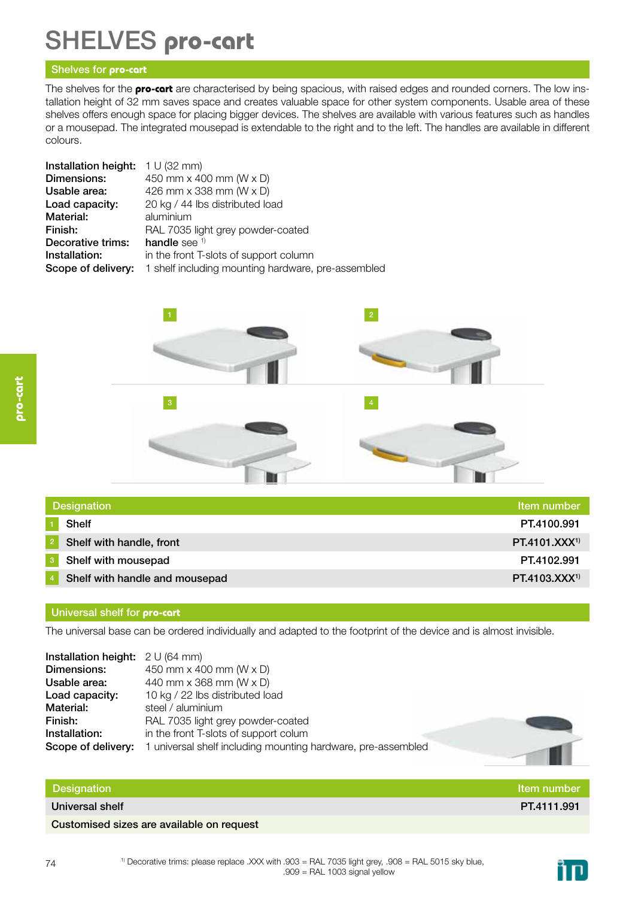# SHELVES **pro-cart**

#### Shelves for **pro-cart**

The shelves for the **pro-cart** are characterised by being spacious, with raised edges and rounded corners. The low installation height of 32 mm saves space and creates valuable space for other system components. Usable area of these shelves offers enough space for placing bigger devices. The shelves are available with various features such as handles or a mousepad. The integrated mousepad is extendable to the right and to the left. The handles are available in different colours.

| <b>Installation height:</b> $1 \cup (32 \text{ mm})$ |                                                    |
|------------------------------------------------------|----------------------------------------------------|
| Dimensions:                                          | 450 mm $\times$ 400 mm (W $\times$ D)              |
| Usable area:                                         | 426 mm x 338 mm (W x D)                            |
| Load capacity:                                       | 20 kg / 44 lbs distributed load                    |
| Material:                                            | aluminium                                          |
| Finish:                                              | RAL 7035 light grey powder-coated                  |
| Decorative trims:                                    | handle see $1$                                     |
| Installation:                                        | in the front T-slots of support column             |
| Scope of delivery:                                   | 1 shelf including mounting hardware, pre-assembled |



| Designation |                                | Item number       |
|-------------|--------------------------------|-------------------|
|             | <b>Shelf</b>                   | PT.4100.991       |
|             | Shelf with handle, front       | $PT.4101.XXX^{1}$ |
|             | Shelf with mousepad            | PT.4102.991       |
|             | Shelf with handle and mousepad | $PT.4103.XXX^{1}$ |

#### Universal shelf for **pro-cart**

The universal base can be ordered individually and adapted to the footprint of the device and is almost invisible.

| <b>Installation height:</b> $2 \text{ U (64 mm)}$ |                                                              |
|---------------------------------------------------|--------------------------------------------------------------|
| Dimensions:                                       | 450 mm x 400 mm (W x D)                                      |
| Usable area:                                      | 440 mm x 368 mm (W x D)                                      |
| Load capacity:                                    | 10 kg / 22 lbs distributed load                              |
| Material:                                         | steel / aluminium                                            |
| Finish:                                           | RAL 7035 light grey powder-coated                            |
| Installation:                                     | in the front T-slots of support colum                        |
| Scope of delivery:                                | 1 universal shelf including mounting hardware, pre-assembled |

#### Designation and the control of the control of the control of the control of the control of the control of the control of the control of the control of the control of the control of the control of the control of the control

Universal shelf PT.4111.991

Customised sizes are available on request

<sup>1)</sup> Decorative trims: please replace .XXX with .903 = RAL 7035 light grey, .908 = RAL 5015 sky blue,  $.909$  = RAL 1003 signal yellow

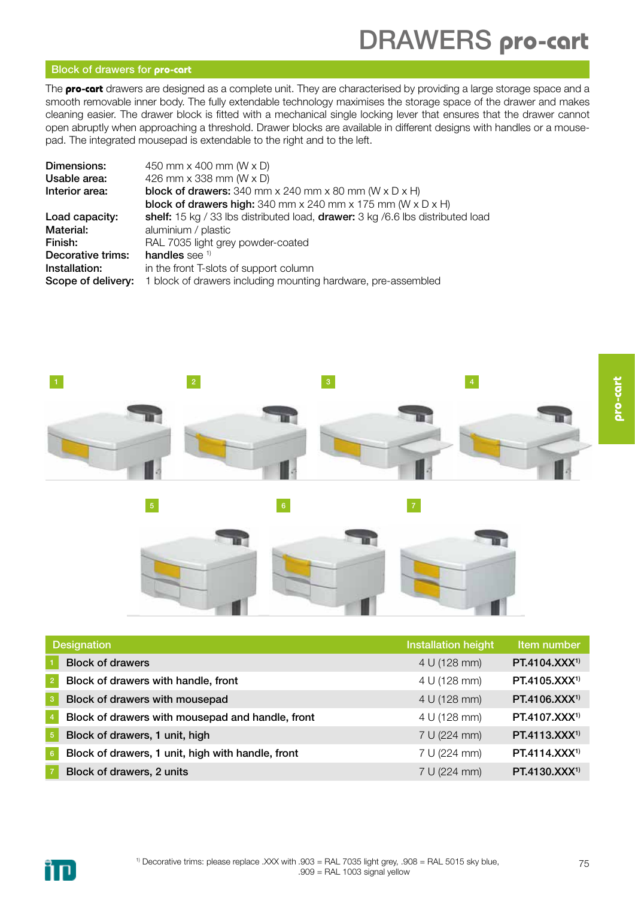# DRAWERS **pro-cart**

#### Block of drawers for **pro-cart**

The **pro-cart** drawers are designed as a complete unit. They are characterised by providing a large storage space and a smooth removable inner body. The fully extendable technology maximises the storage space of the drawer and makes cleaning easier. The drawer block is fitted with a mechanical single locking lever that ensures that the drawer cannot open abruptly when approaching a threshold. Drawer blocks are available in different designs with handles or a mousepad. The integrated mousepad is extendable to the right and to the left.

| Dimensions:        | 450 mm x 400 mm (W x D)                                                                  |
|--------------------|------------------------------------------------------------------------------------------|
| Usable area:       | 426 mm x 338 mm (W x D)                                                                  |
| Interior area:     | <b>block of drawers:</b> 340 mm $\times$ 240 mm $\times$ 80 mm (W $\times$ D $\times$ H) |
|                    | <b>block of drawers high:</b> 340 mm x 240 mm x 175 mm ( $W \times D \times H$ )         |
| Load capacity:     | shelf: 15 kg / 33 lbs distributed load, drawer: 3 kg / 6.6 lbs distributed load          |
| Material:          | aluminium / plastic                                                                      |
| Finish:            | RAL 7035 light grey powder-coated                                                        |
| Decorative trims:  | handles see $1$                                                                          |
| Installation:      | in the front T-slots of support column                                                   |
| Scope of delivery: | 1 block of drawers including mounting hardware, pre-assembled                            |
|                    |                                                                                          |



|                 | <b>Designation</b>                                | <b>Installation height</b> | Item number               |
|-----------------|---------------------------------------------------|----------------------------|---------------------------|
|                 | <b>Block of drawers</b>                           | 4 U (128 mm)               | PT.4104.XXX <sup>1)</sup> |
| $\sqrt{2}$      | Block of drawers with handle, front               | 4 U (128 mm)               | $PT.4105.XXX^{1}$         |
| $\mathbf{3}$    | Block of drawers with mousepad                    | 4 U (128 mm)               | PT.4106.XXX <sup>1)</sup> |
| $\overline{4}$  | Block of drawers with mousepad and handle, front  | 4 U (128 mm)               | PT.4107.XXX <sup>1)</sup> |
| $\sqrt{5}$      | Block of drawers, 1 unit, high                    | 7 U (224 mm)               | PT.4113.XXX <sup>1)</sup> |
| $6\phantom{.}6$ | Block of drawers, 1 unit, high with handle, front | 7 U (224 mm)               | $PT.4114.XXX^{1}$         |
|                 | Block of drawers, 2 units                         | 7 U (224 mm)               | $PT.4130.XXX^{1}$         |

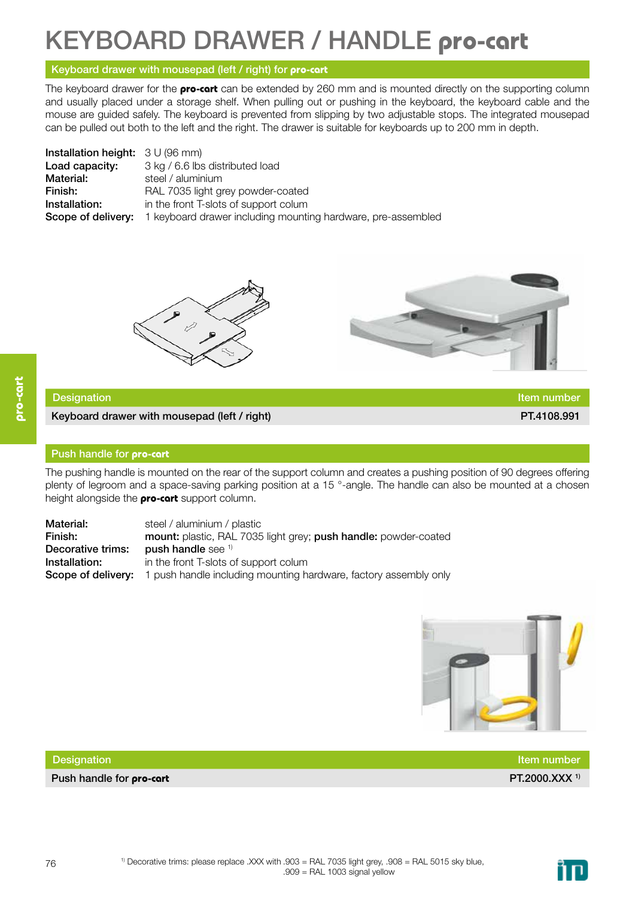# KEYBOARD DRAWER / HANDLE **pro-cart**

#### Keyboard drawer with mousepad (left / right) for **pro-cart**

The keyboard drawer for the **pro-cart** can be extended by 260 mm and is mounted directly on the supporting column and usually placed under a storage shelf. When pulling out or pushing in the keyboard, the keyboard cable and the mouse are guided safely. The keyboard is prevented from slipping by two adjustable stops. The integrated mousepad can be pulled out both to the left and the right. The drawer is suitable for keyboards up to 200 mm in depth.

| <b>Installation height:</b> $3 \cup (96 \text{ mm})$ |                                                              |
|------------------------------------------------------|--------------------------------------------------------------|
| Load capacity:                                       | 3 kg / 6.6 lbs distributed load                              |
| Material:                                            | steel / aluminium                                            |
| Finish:                                              | RAL 7035 light grey powder-coated                            |
| Installation:                                        | in the front T-slots of support colum                        |
| Scope of delivery:                                   | 1 keyboard drawer including mounting hardware, pre-assembled |





#### Designation and the contract of the contract of the contract of the contract of the contract of the contract of the contract of the contract of the contract of the contract of the contract of the contract of the contract o

Keyboard drawer with mousepad (left / right) **PT.4108.991** PT.4108.991

#### Push handle for **pro-cart**

The pushing handle is mounted on the rear of the support column and creates a pushing position of 90 degrees offering plenty of legroom and a space-saving parking position at a 15 °-angle. The handle can also be mounted at a chosen height alongside the **pro-cart** support column.

Material: steel / aluminium / plastic Finish: mount: plastic, RAL 7035 light grey; push handle: powder-coated Decorative trims: push handle see <sup>1)</sup> **Installation:** in the front T-slots of support colum Scope of delivery: 1 push handle including mounting hardware, factory assembly only



| Designation                     | ltem number               |
|---------------------------------|---------------------------|
| Push handle for <b>pro-cart</b> | PT.2000.XXX <sup>1)</sup> |